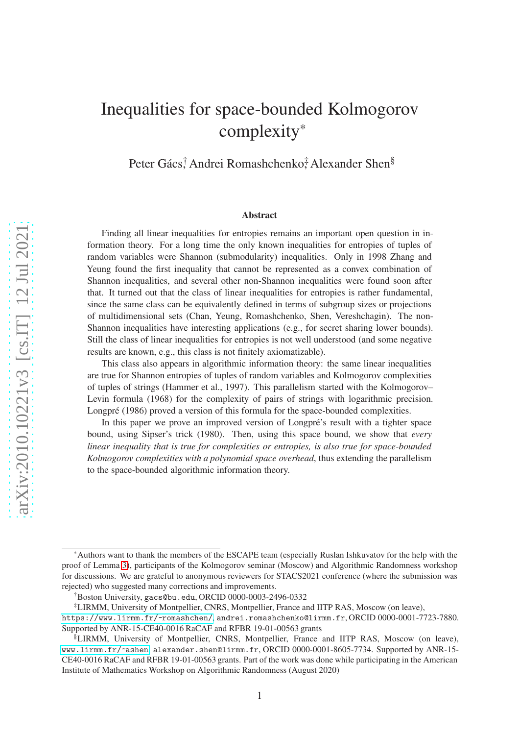# Inequalities for space-bounded Kolmogorov complexity \*

Peter Gács,† Andrei Romashchenko,‡ Alexander Shen<sup>§</sup>

#### Abstract

Finding all linear inequalities for entropies remains an important open question in information theory. For a long time the only known inequalities for entropies of tuples of random variables were Shannon (submodularity) inequalities. Only in 1998 Zhang and Yeung found the first inequality that cannot be represented as a convex combination of Shannon inequalities, and several other non-Shannon inequalities were found soon after that. It turned out that the class of linear inequalities for entropies is rather fundamental, since the same class can be equivalently defined in terms of subgroup sizes or projections of multidimensional sets (Chan, Yeung, Romashchenko, Shen, Vereshchagin). The non-Shannon inequalities have interesting applications (e.g., for secret sharing lower bounds). Still the class of linear inequalities for entropies is not well understood (and some negative results are known, e.g., this class is not finitely axiomatizable).

This class also appears in algorithmic information theory: the same linear inequalities are true for Shannon entropies of tuples of random variables and Kolmogorov complexities of tuples of strings (Hammer et al., 1997). This parallelism started with the Kolmogorov– Levin formula (1968) for the complexity of pairs of strings with logarithmic precision. Longpré (1986) proved a version of this formula for the space-bounded complexities.

In this paper we prove an improved version of Longpré's result with a tighter space bound, using Sipser's trick (1980). Then, using this space bound, we show that *every linear inequality that is true for complexities or entropies, is also true for space-bounded Kolmogorov complexities with a polynomial space overhead*, thus extending the parallelism to the space-bounded algorithmic information theory.

<sup>\*</sup>Authors want to thank the members of the ESCAPE team (especially Ruslan Ishkuvatov for the help with the proof of Lemma [3\)](#page-14-0), participants of the Kolmogorov seminar (Moscow) and Algorithmic Randomness workshop for discussions. We are grateful to anonymous reviewers for STACS2021 conference (where the submission was rejected) who suggested many corrections and improvements .

<sup>†</sup>Boston University, gacs@bu.edu, ORCID 0000-0003-2496-0332

<sup>‡</sup>LIRMM, University of Montpellier, CNRS, Montpellier, France and IITP RAS, Moscow (on leave),

[https://www.lirmm.fr/](https://www.lirmm.fr/~romashchen/) ~romashchen/ , andrei.romashchenko@lirmm.fr, ORCID 0000-0001-7723-7880. Supported by ANR-15-CE40-0016 RaCAF and RFBR 19-01-00563 grants

<sup>§</sup>LIRMM, University of Montpellier, CNRS, Montpellier, France and IITP RAS, Moscow (on leave), [www.lirmm.fr/](www.lirmm.fr/~ashen) ~ashen , alexander.shen@lirmm.fr, ORCID 0000-0001-8605-7734. Supported by ANR-15- CE40-0016 RaCAF and RFBR 19-01-00563 grants. Part of the work was done while participating in the American Institute of Mathematics Workshop on Algorithmic Randomness (August 2020)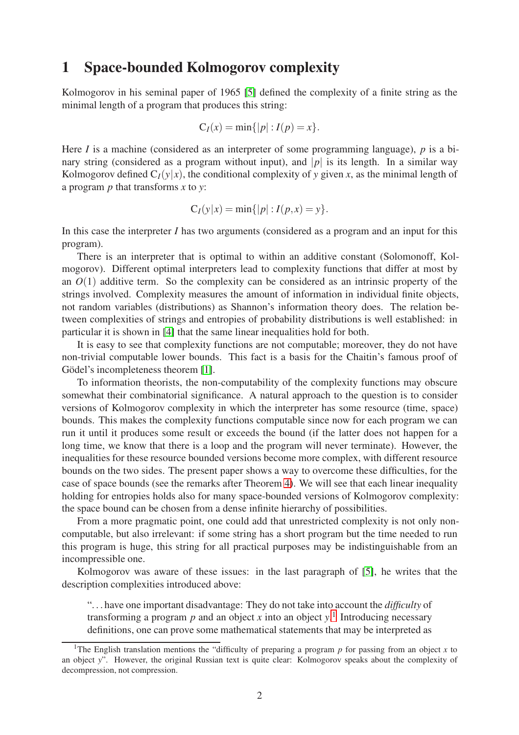### 1 Space-bounded Kolmogorov complexity

Kolmogorov in his seminal paper of 1965 [\[5\]](#page-20-0) defined the complexity of a finite string as the minimal length of a program that produces this string:

$$
C_I(x) = \min\{|p| : I(p) = x\}.
$$

Here *I* is a machine (considered as an interpreter of some programming language), *p* is a binary string (considered as a program without input), and  $|p|$  is its length. In a similar way Kolmogorov defined  $C_I(y|x)$ , the conditional complexity of y given x, as the minimal length of a program *p* that transforms *x* to *y*:

$$
C_I(y|x) = \min\{|p| : I(p,x) = y\}.
$$

In this case the interpreter *I* has two arguments (considered as a program and an input for this program).

There is an interpreter that is optimal to within an additive constant (Solomonoff, Kolmogorov). Different optimal interpreters lead to complexity functions that differ at most by an  $O(1)$  additive term. So the complexity can be considered as an intrinsic property of the strings involved. Complexity measures the amount of information in individual finite objects, not random variables (distributions) as Shannon's information theory does. The relation between complexities of strings and entropies of probability distributions is well established: in particular it is shown in [\[4\]](#page-20-1) that the same linear inequalities hold for both.

It is easy to see that complexity functions are not computable; moreover, they do not have non-trivial computable lower bounds. This fact is a basis for the Chaitin's famous proof of Gödel's incompleteness theorem [\[1\]](#page-20-2).

To information theorists, the non-computability of the complexity functions may obscure somewhat their combinatorial significance. A natural approach to the question is to consider versions of Kolmogorov complexity in which the interpreter has some resource (time, space) bounds. This makes the complexity functions computable since now for each program we can run it until it produces some result or exceeds the bound (if the latter does not happen for a long time, we know that there is a loop and the program will never terminate). However, the inequalities for these resource bounded versions become more complex, with different resource bounds on the two sides. The present paper shows a way to overcome these difficulties, for the case of space bounds (see the remarks after Theorem [4\)](#page-15-0). We will see that each linear inequality holding for entropies holds also for many space-bounded versions of Kolmogorov complexity: the space bound can be chosen from a dense infinite hierarchy of possibilities.

From a more pragmatic point, one could add that unrestricted complexity is not only noncomputable, but also irrelevant: if some string has a short program but the time needed to run this program is huge, this string for all practical purposes may be indistinguishable from an incompressible one.

Kolmogorov was aware of these issues: in the last paragraph of [\[5\]](#page-20-0), he writes that the description complexities introduced above:

". . . have one important disadvantage: They do not take into account the *difficulty* of transforming a program *p* and an object *x* into an object *y*. [1](#page-1-0) Introducing necessary definitions, one can prove some mathematical statements that may be interpreted as

<span id="page-1-0"></span><sup>&</sup>lt;sup>1</sup>The English translation mentions the "difficulty of preparing a program  $p$  for passing from an object  $x$  to an object *y*". However, the original Russian text is quite clear: Kolmogorov speaks about the complexity of decompression, not compression.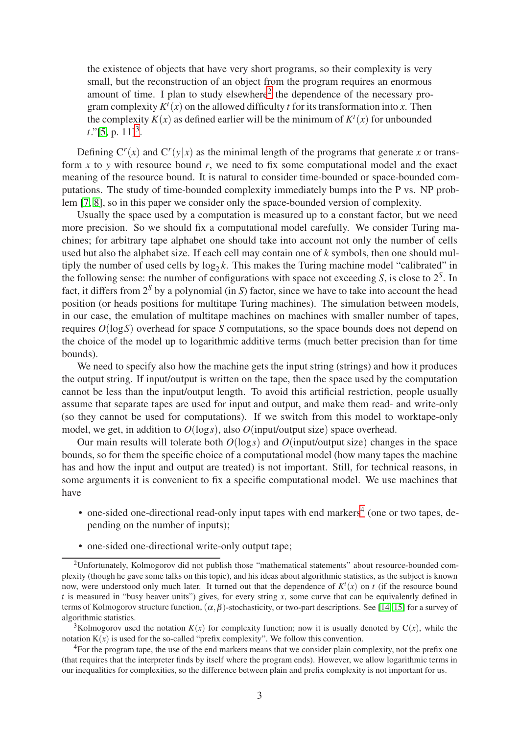the existence of objects that have very short programs, so their complexity is very small, but the reconstruction of an object from the program requires an enormous amount of time. I plan to study elsewhere<sup>[2](#page-2-0)</sup> the dependence of the necessary program complexity  $K^t(x)$  on the allowed difficulty *t* for its transformation into *x*. Then the complexity  $K(x)$  as defined earlier will be the minimum of  $K^t(x)$  for unbounded  $t$ ."[\[5,](#page-20-0) p. 11]<sup>[3](#page-2-1)</sup>.

Defining  $C^{r}(x)$  and  $C^{r}(y|x)$  as the minimal length of the programs that generate *x* or transform *x* to *y* with resource bound *r*, we need to fix some computational model and the exact meaning of the resource bound. It is natural to consider time-bounded or space-bounded computations. The study of time-bounded complexity immediately bumps into the P vs. NP problem [\[7,](#page-20-3) [8\]](#page-20-4), so in this paper we consider only the space-bounded version of complexity.

Usually the space used by a computation is measured up to a constant factor, but we need more precision. So we should fix a computational model carefully. We consider Turing machines; for arbitrary tape alphabet one should take into account not only the number of cells used but also the alphabet size. If each cell may contain one of *k* symbols, then one should multiply the number of used cells by  $log_2 k$ . This makes the Turing machine model "calibrated" in the following sense: the number of configurations with space not exceeding *S*, is close to 2*<sup>S</sup>* . In fact, it differs from 2*<sup>S</sup>* by a polynomial (in *S*) factor, since we have to take into account the head position (or heads positions for multitape Turing machines). The simulation between models, in our case, the emulation of multitape machines on machines with smaller number of tapes, requires *O*(log*S*) overhead for space *S* computations, so the space bounds does not depend on the choice of the model up to logarithmic additive terms (much better precision than for time bounds).

We need to specify also how the machine gets the input string (strings) and how it produces the output string. If input/output is written on the tape, then the space used by the computation cannot be less than the input/output length. To avoid this artificial restriction, people usually assume that separate tapes are used for input and output, and make them read- and write-only (so they cannot be used for computations). If we switch from this model to worktape-only model, we get, in addition to  $O(\log s)$ , also  $O(\text{input/output size})$  space overhead.

Our main results will tolerate both *O*(log*s*) and *O*(input/output size) changes in the space bounds, so for them the specific choice of a computational model (how many tapes the machine has and how the input and output are treated) is not important. Still, for technical reasons, in some arguments it is convenient to fix a specific computational model. We use machines that have

- one-sided one-directional read-only input tapes with end markers<sup>[4](#page-2-2)</sup> (one or two tapes, depending on the number of inputs);
- one-sided one-directional write-only output tape;

<span id="page-2-0"></span><sup>2</sup>Unfortunately, Kolmogorov did not publish those "mathematical statements" about resource-bounded complexity (though he gave some talks on this topic), and his ideas about algorithmic statistics, as the subject is known now, were understood only much later. It turned out that the dependence of  $K^t(x)$  on  $t$  (if the resource bound *t* is measured in "busy beaver units") gives, for every string *x*, some curve that can be equivalently defined in terms of Kolmogorov structure function,  $(\alpha, \beta)$ -stochasticity, or two-part descriptions. See [\[14,](#page-20-5) [15\]](#page-21-0) for a survey of algorithmic statistics.

<span id="page-2-1"></span><sup>&</sup>lt;sup>3</sup>Kolmogorov used the notation  $K(x)$  for complexity function; now it is usually denoted by  $C(x)$ , while the notation  $K(x)$  is used for the so-called "prefix complexity". We follow this convention.

<span id="page-2-2"></span><sup>4</sup>For the program tape, the use of the end markers means that we consider plain complexity, not the prefix one (that requires that the interpreter finds by itself where the program ends). However, we allow logarithmic terms in our inequalities for complexities, so the difference between plain and prefix complexity is not important for us.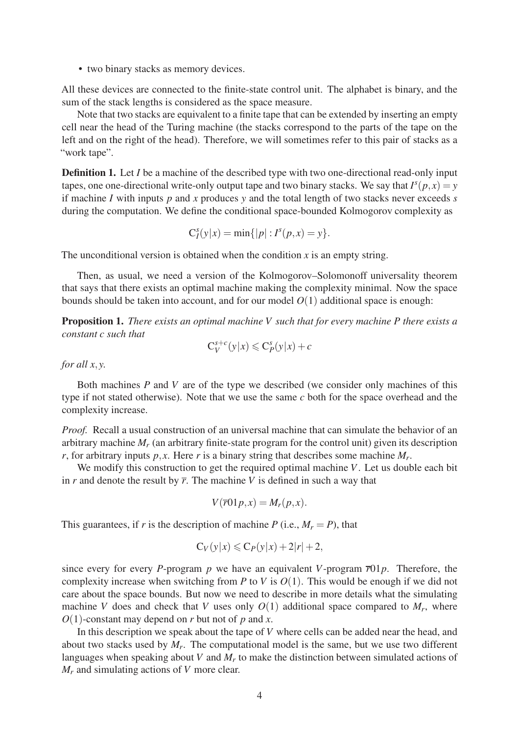• two binary stacks as memory devices.

All these devices are connected to the finite-state control unit. The alphabet is binary, and the sum of the stack lengths is considered as the space measure.

Note that two stacks are equivalent to a finite tape that can be extended by inserting an empty cell near the head of the Turing machine (the stacks correspond to the parts of the tape on the left and on the right of the head). Therefore, we will sometimes refer to this pair of stacks as a "work tape".

**Definition 1.** Let *I* be a machine of the described type with two one-directional read-only input tapes, one one-directional write-only output tape and two binary stacks. We say that  $I^s(p, x) = y$ if machine *I* with inputs *p* and *x* produces *y* and the total length of two stacks never exceeds *s* during the computation. We define the conditional space-bounded Kolmogorov complexity as

$$
C_I^s(y|x) = \min\{|p| : I^s(p,x) = y\}.
$$

The unconditional version is obtained when the condition  $x$  is an empty string.

Then, as usual, we need a version of the Kolmogorov–Solomonoff universality theorem that says that there exists an optimal machine making the complexity minimal. Now the space bounds should be taken into account, and for our model  $O(1)$  additional space is enough:

<span id="page-3-0"></span>Proposition 1. *There exists an optimal machine V such that for every machine P there exists a constant c such that*

$$
C_V^{s+c}(y|x) \leq C_P^s(y|x) + c
$$

*for all x*, *y.*

Both machines *P* and *V* are of the type we described (we consider only machines of this type if not stated otherwise). Note that we use the same *c* both for the space overhead and the complexity increase.

*Proof.* Recall a usual construction of an universal machine that can simulate the behavior of an arbitrary machine  $M_r$  (an arbitrary finite-state program for the control unit) given its description *r*, for arbitrary inputs  $p$ ,  $x$ . Here  $r$  is a binary string that describes some machine  $M_r$ .

We modify this construction to get the required optimal machine *V*. Let us double each bit in  $r$  and denote the result by  $\bar{r}$ . The machine  $V$  is defined in such a way that

$$
V(\overline{r}01p,x) = M_r(p,x).
$$

This guarantees, if *r* is the description of machine *P* (i.e.,  $M_r = P$ ), that

$$
C_V(y|x) \leqslant C_P(y|x) + 2|r| + 2,
$$

since every for every *P*-program *p* we have an equivalent *V*-program  $\overline{r}01p$ . Therefore, the complexity increase when switching from *P* to *V* is  $O(1)$ . This would be enough if we did not care about the space bounds. But now we need to describe in more details what the simulating machine *V* does and check that *V* uses only  $O(1)$  additional space compared to  $M_r$ , where  $O(1)$ -constant may depend on *r* but not of *p* and *x*.

In this description we speak about the tape of *V* where cells can be added near the head, and about two stacks used by *M<sup>r</sup>* . The computational model is the same, but we use two different languages when speaking about *V* and *M<sup>r</sup>* to make the distinction between simulated actions of *M<sup>r</sup>* and simulating actions of *V* more clear.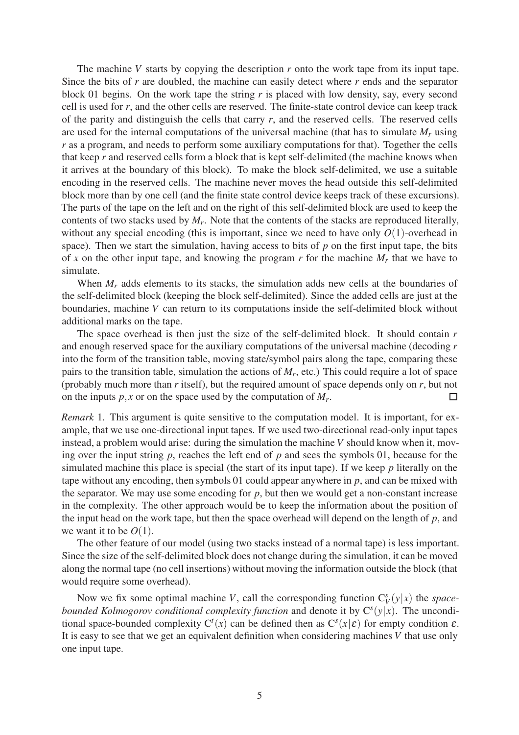The machine *V* starts by copying the description *r* onto the work tape from its input tape. Since the bits of *r* are doubled, the machine can easily detect where *r* ends and the separator block 01 begins. On the work tape the string *r* is placed with low density, say, every second cell is used for *r*, and the other cells are reserved. The finite-state control device can keep track of the parity and distinguish the cells that carry *r*, and the reserved cells. The reserved cells are used for the internal computations of the universal machine (that has to simulate  $M_r$  using *r* as a program, and needs to perform some auxiliary computations for that). Together the cells that keep *r* and reserved cells form a block that is kept self-delimited (the machine knows when it arrives at the boundary of this block). To make the block self-delimited, we use a suitable encoding in the reserved cells. The machine never moves the head outside this self-delimited block more than by one cell (and the finite state control device keeps track of these excursions). The parts of the tape on the left and on the right of this self-delimited block are used to keep the contents of two stacks used by *M<sup>r</sup>* . Note that the contents of the stacks are reproduced literally, without any special encoding (this is important, since we need to have only *O*(1)-overhead in space). Then we start the simulation, having access to bits of  $p$  on the first input tape, the bits of x on the other input tape, and knowing the program  $r$  for the machine  $M_r$  that we have to simulate.

When  $M_r$  adds elements to its stacks, the simulation adds new cells at the boundaries of the self-delimited block (keeping the block self-delimited). Since the added cells are just at the boundaries, machine *V* can return to its computations inside the self-delimited block without additional marks on the tape.

The space overhead is then just the size of the self-delimited block. It should contain *r* and enough reserved space for the auxiliary computations of the universal machine (decoding *r* into the form of the transition table, moving state/symbol pairs along the tape, comparing these pairs to the transition table, simulation the actions of *M<sup>r</sup>* , etc.) This could require a lot of space (probably much more than *r* itself), but the required amount of space depends only on *r*, but not on the inputs  $p, x$  or on the space used by the computation of  $M_r$ .  $\Box$ 

*Remark* 1. This argument is quite sensitive to the computation model. It is important, for example, that we use one-directional input tapes. If we used two-directional read-only input tapes instead, a problem would arise: during the simulation the machine *V* should know when it, moving over the input string *p*, reaches the left end of *p* and sees the symbols 01, because for the simulated machine this place is special (the start of its input tape). If we keep *p* literally on the tape without any encoding, then symbols 01 could appear anywhere in *p*, and can be mixed with the separator. We may use some encoding for *p*, but then we would get a non-constant increase in the complexity. The other approach would be to keep the information about the position of the input head on the work tape, but then the space overhead will depend on the length of *p*, and we want it to be  $O(1)$ .

The other feature of our model (using two stacks instead of a normal tape) is less important. Since the size of the self-delimited block does not change during the simulation, it can be moved along the normal tape (no cell insertions) without moving the information outside the block (that would require some overhead).

Now we fix some optimal machine *V*, call the corresponding function  $C_V^s(y|x)$  the *spacebounded Kolmogorov conditional complexity function* and denote it by C*<sup>s</sup>* (*y*|*x*). The unconditional space-bounded complexity  $C^t(x)$  can be defined then as  $C^s(x|\varepsilon)$  for empty condition  $\varepsilon$ . It is easy to see that we get an equivalent definition when considering machines *V* that use only one input tape.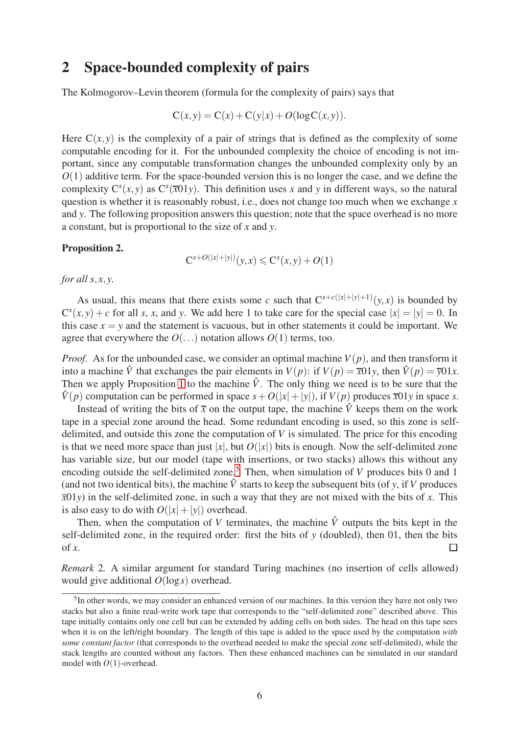## 2 Space-bounded complexity of pairs

The Kolmogorov–Levin theorem (formula for the complexity of pairs) says that

$$
C(x,y) = C(x) + C(y|x) + O(logC(x,y)).
$$

Here  $C(x, y)$  is the complexity of a pair of strings that is defined as the complexity of some computable encoding for it. For the unbounded complexity the choice of encoding is not important, since any computable transformation changes the unbounded complexity only by an *O*(1) additive term. For the space-bounded version this is no longer the case, and we define the complexity  $C^{s}(x, y)$  as  $C^{s}(\overline{x}01y)$ . This definition uses *x* and *y* in different ways, so the natural question is whether it is reasonably robust, i.e., does not change too much when we exchange *x* and *y*. The following proposition answers this question; note that the space overhead is no more a constant, but is proportional to the size of *x* and *y*.

#### Proposition 2.

$$
C^{s+O(|x|+|y|)}(y,x) \leq C^s(x,y) + O(1)
$$

*for all s*, *x*, *y.*

As usual, this means that there exists some *c* such that  $C^{s+c(|x|+|y|+1)}(y, x)$  is bounded by  $C<sup>s</sup>(x, y) + c$  for all *s*, *x*, and *y*. We add here 1 to take care for the special case  $|x| = |y| = 0$ . In this case  $x = y$  and the statement is vacuous, but in other statements it could be important. We agree that everywhere the  $O(...)$  notation allows  $O(1)$  terms, too.

*Proof.* As for the unbounded case, we consider an optimal machine  $V(p)$ , and then transform it into a machine  $\hat{V}$  that exchanges the pair elements in  $V(p)$ : if  $V(p) = \overline{x}01y$ , then  $\hat{V}(p) = \overline{y}01x$ . Then we apply Proposition [1](#page-3-0) to the machine  $\hat{V}$ . The only thing we need is to be sure that the  $\hat{V}(p)$  computation can be performed in space  $s + O(|x| + |y|)$ , if  $V(p)$  produces  $\bar{x}01y$  in space *s*.

Instead of writing the bits of  $\bar{x}$  on the output tape, the machine  $\hat{V}$  keeps them on the work tape in a special zone around the head. Some redundant encoding is used, so this zone is selfdelimited, and outside this zone the computation of *V* is simulated. The price for this encoding is that we need more space than just  $|x|$ , but  $O(|x|)$  bits is enough. Now the self-delimited zone has variable size, but our model (tape with insertions, or two stacks) allows this without any encoding outside the self-delimited zone.<sup>[5](#page-5-0)</sup> Then, when simulation of *V* produces bits 0 and 1 (and not two identical bits), the machine  $\hat{V}$  starts to keep the subsequent bits (of *y*, if *V* produces  $\bar{x}01y$  in the self-delimited zone, in such a way that they are not mixed with the bits of *x*. This is also easy to do with  $O(|x|+|y|)$  overhead.

Then, when the computation of *V* terminates, the machine  $\hat{V}$  outputs the bits kept in the self-delimited zone, in the required order: first the bits of *y* (doubled), then 01, then the bits of *x*.  $\Box$ 

*Remark* 2*.* A similar argument for standard Turing machines (no insertion of cells allowed) would give additional *O*(log*s*) overhead.

<span id="page-5-0"></span><sup>&</sup>lt;sup>5</sup>In other words, we may consider an enhanced version of our machines. In this version they have not only two stacks but also a finite read-write work tape that corresponds to the "self-delimited zone" described above. This tape initially contains only one cell but can be extended by adding cells on both sides. The head on this tape sees when it is on the left/right boundary. The length of this tape is added to the space used by the computation *with some constant factor* (that corresponds to the overhead needed to make the special zone self-delimited), while the stack lengths are counted without any factors. Then these enhanced machines can be simulated in our standard model with *O*(1)-overhead.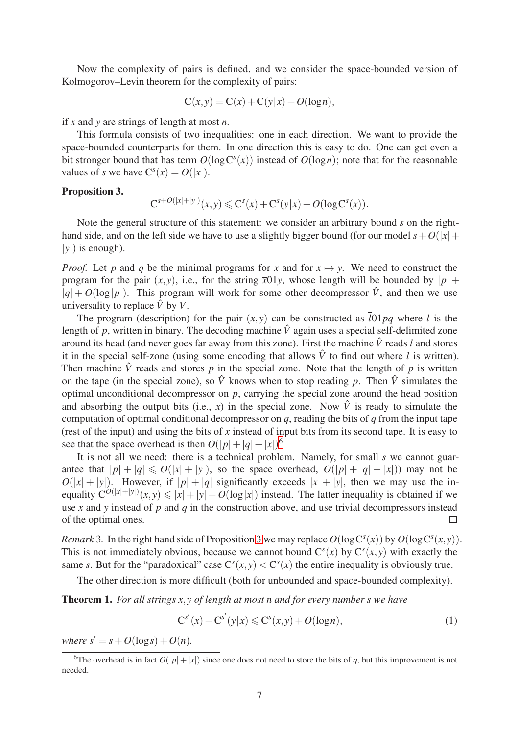Now the complexity of pairs is defined, and we consider the space-bounded version of Kolmogorov–Levin theorem for the complexity of pairs:

$$
C(x, y) = C(x) + C(y|x) + O(log n),
$$

if *x* and *y* are strings of length at most *n*.

This formula consists of two inequalities: one in each direction. We want to provide the space-bounded counterparts for them. In one direction this is easy to do. One can get even a bit stronger bound that has term  $O(log C<sup>s</sup>(x))$  instead of  $O(log n)$ ; note that for the reasonable values of *s* we have  $C^{s}(x) = O(|x|)$ .

#### <span id="page-6-1"></span>Proposition 3.

$$
C^{s+O(|x|+|y|)}(x,y) \leq C^s(x) + C^s(y|x) + O(\log C^s(x)).
$$

Note the general structure of this statement: we consider an arbitrary bound *s* on the righthand side, and on the left side we have to use a slightly bigger bound (for our model  $s + O(|x| +$ |*y*|) is enough).

*Proof.* Let *p* and *q* be the minimal programs for *x* and for  $x \mapsto y$ . We need to construct the program for the pair  $(x, y)$ , i.e., for the string  $\bar{x}01y$ , whose length will be bounded by  $|p| +$  $|q| + O(\log |p|)$ . This program will work for some other decompressor  $\hat{V}$ , and then we use universality to replace  $\hat{V}$  by  $V$ .

The program (description) for the pair  $(x, y)$  can be constructed as  $\overline{101pq}$  where *l* is the length of p, written in binary. The decoding machine  $\hat{V}$  again uses a special self-delimited zone around its head (and never goes far away from this zone). First the machine  $\hat{V}$  reads *l* and stores it in the special self-zone (using some encoding that allows  $\hat{V}$  to find out where *l* is written). Then machine  $\hat{V}$  reads and stores  $p$  in the special zone. Note that the length of  $p$  is written on the tape (in the special zone), so  $\hat{V}$  knows when to stop reading *p*. Then  $\hat{V}$  simulates the optimal unconditional decompressor on *p*, carrying the special zone around the head position and absorbing the output bits (i.e., *x*) in the special zone. Now  $\hat{V}$  is ready to simulate the computation of optimal conditional decompressor on *q*, reading the bits of *q* from the input tape (rest of the input) and using the bits of *x* instead of input bits from its second tape. It is easy to see that the space overhead is then  $O(|p|+|q|+|x|)^6$  $O(|p|+|q|+|x|)^6$ 

It is not all we need: there is a technical problem. Namely, for small *s* we cannot guarantee that  $|p| + |q| \le O(|x| + |y|)$ , so the space overhead,  $O(|p| + |q| + |x|)$  may not be  $O(|x| + |y|)$ . However, if  $|p| + |q|$  significantly exceeds  $|x| + |y|$ , then we may use the inequality  $C^{O(|x|+|y|)}(x, y) \le |x| + |y| + O(\log|x|)$  instead. The latter inequality is obtained if we use *x* and *y* instead of *p* and *q* in the construction above, and use trivial decompressors instead of the optimal ones. П

*Remark* [3](#page-6-1). In the right hand side of Proposition 3 we may replace  $O(log C<sup>s</sup>(x))$  by  $O(log C<sup>s</sup>(x, y))$ . This is not immediately obvious, because we cannot bound  $C<sup>s</sup>(x)$  by  $C<sup>s</sup>(x, y)$  with exactly the same *s*. But for the "paradoxical" case  $C^{s}(x, y) < C^{s}(x)$  the entire inequality is obviously true.

The other direction is more difficult (both for unbounded and space-bounded complexity).

<span id="page-6-2"></span>Theorem 1. *For all strings x*, *y of length at most n and for every number s we have*

$$
C^{s'}(x) + C^{s'}(y|x) \leq C^{s}(x, y) + O(\log n),\tag{1}
$$

*where*  $s' = s + O(\log s) + O(n)$ .

<span id="page-6-0"></span><sup>&</sup>lt;sup>6</sup>The overhead is in fact  $O(|p|+|x|)$  since one does not need to store the bits of *q*, but this improvement is not needed.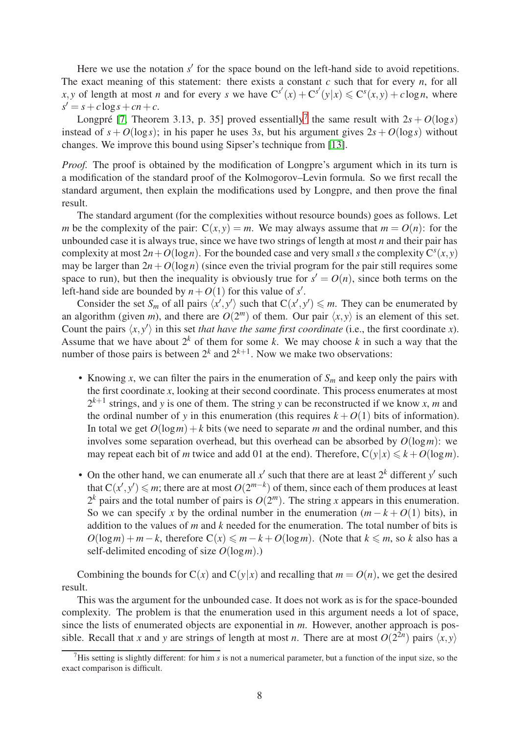Here we use the notation s' for the space bound on the left-hand side to avoid repetitions. The exact meaning of this statement: there exists a constant *c* such that for every *n*, for all *x*, *y* of length at most *n* and for every *s* we have  $C^{s'}(x) + C^{s'}(y|x) \leq C^{s}(x,y) + c \log n$ , where  $s' = s + c \log s + cn + c$ .

Longpré [\[7,](#page-20-3) Theorem 3.13, p. 35] proved essentially<sup>[7](#page-7-0)</sup> the same result with  $2s + O(\log s)$ instead of  $s + O(\log s)$ ; in his paper he uses 3*s*, but his argument gives  $2s + O(\log s)$  without changes. We improve this bound using Sipser's technique from [\[13\]](#page-20-6).

*Proof.* The proof is obtained by the modification of Longpre's argument which in its turn is a modification of the standard proof of the Kolmogorov–Levin formula. So we first recall the standard argument, then explain the modifications used by Longpre, and then prove the final result.

The standard argument (for the complexities without resource bounds) goes as follows. Let *m* be the complexity of the pair:  $C(x, y) = m$ . We may always assume that  $m = O(n)$ : for the unbounded case it is always true, since we have two strings of length at most *n* and their pair has complexity at most  $2n + O(\log n)$ . For the bounded case and very small *s* the complexity  $C<sup>s</sup>(x, y)$ may be larger than  $2n+O(\log n)$  (since even the trivial program for the pair still requires some space to run), but then the inequality is obviously true for  $s' = O(n)$ , since both terms on the left-hand side are bounded by  $n + O(1)$  for this value of *s'*.

Consider the set  $S_m$  of all pairs  $\langle x', y' \rangle$  such that  $C(x', y') \leq m$ . They can be enumerated by an algorithm (given *m*), and there are  $O(2^m)$  of them. Our pair  $\langle x, y \rangle$  is an element of this set. Count the pairs  $\langle x, y' \rangle$  in this set *that have the same first coordinate* (i.e., the first coordinate *x*). Assume that we have about  $2^k$  of them for some *k*. We may choose *k* in such a way that the number of those pairs is between  $2^k$  and  $2^{k+1}$ . Now we make two observations:

- Knowing *x*, we can filter the pairs in the enumeration of  $S_m$  and keep only the pairs with the first coordinate *x*, looking at their second coordinate. This process enumerates at most  $2^{k+1}$  strings, and *y* is one of them. The string *y* can be reconstructed if we know *x*, *m* and the ordinal number of y in this enumeration (this requires  $k + O(1)$  bits of information). In total we get  $O(log m) + k$  bits (we need to separate *m* and the ordinal number, and this involves some separation overhead, but this overhead can be absorbed by *O*(log*m*): we may repeat each bit of *m* twice and add 01 at the end). Therefore,  $C(y|x) \le k + O(\log m)$ .
- On the other hand, we can enumerate all  $x'$  such that there are at least  $2^k$  different  $y'$  such that  $C(x', y') \leq m$ ; there are at most  $O(2^{m-k})$  of them, since each of them produces at least  $2^k$  pairs and the total number of pairs is  $O(2^m)$ . The string *x* appears in this enumeration. So we can specify *x* by the ordinal number in the enumeration  $(m - k + O(1))$  bits), in addition to the values of *m* and *k* needed for the enumeration. The total number of bits is  $O(\log m) + m - k$ , therefore  $C(x) \leq m - k + O(\log m)$ . (Note that  $k \leq m$ , so *k* also has a self-delimited encoding of size *O*(log*m*).)

Combining the bounds for  $C(x)$  and  $C(y|x)$  and recalling that  $m = O(n)$ , we get the desired result.

This was the argument for the unbounded case. It does not work as is for the space-bounded complexity. The problem is that the enumeration used in this argument needs a lot of space, since the lists of enumerated objects are exponential in *m*. However, another approach is possible. Recall that *x* and *y* are strings of length at most *n*. There are at most  $O(2^{2n})$  pairs  $\langle x, y \rangle$ 

<span id="page-7-0"></span><sup>&</sup>lt;sup>7</sup>His setting is slightly different: for him *s* is not a numerical parameter, but a function of the input size, so the exact comparison is difficult.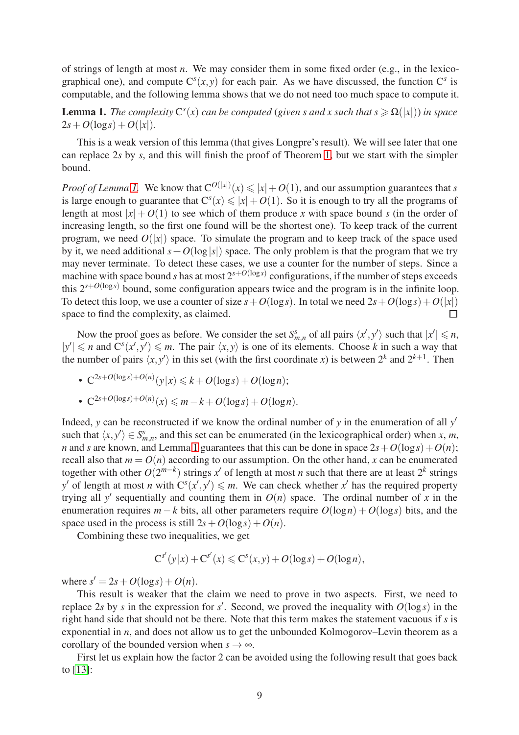of strings of length at most *n*. We may consider them in some fixed order (e.g., in the lexicographical one), and compute  $C<sup>s</sup>(x, y)$  for each pair. As we have discussed, the function  $C<sup>s</sup>$  is computable, and the following lemma shows that we do not need too much space to compute it.

<span id="page-8-0"></span>**Lemma 1.** *The complexity*  $C^{s}(x)$  *can be computed* (*given s and x such that*  $s \ge \Omega(|x|)$ *) in space*  $2s + O(\log s) + O(|x|)$ .

This is a weak version of this lemma (that gives Longpre's result). We will see later that one can replace 2*s* by *s*, and this will finish the proof of Theorem [1,](#page-6-2) but we start with the simpler bound.

*Proof of Lemma [1.](#page-8-0)* We know that  $C^{O(|x|)}(x) \le |x| + O(1)$ , and our assumption guarantees that *s* is large enough to guarantee that  $C^{s}(x) \le |x| + O(1)$ . So it is enough to try all the programs of length at most  $|x| + O(1)$  to see which of them produce *x* with space bound *s* (in the order of increasing length, so the first one found will be the shortest one). To keep track of the current program, we need  $O(|x|)$  space. To simulate the program and to keep track of the space used by it, we need additional  $s + O(\log|s|)$  space. The only problem is that the program that we try may never terminate. To detect these cases, we use a counter for the number of steps. Since a machine with space bound *s* has at most  $2^{s+O(\log s)}$  configurations, if the number of steps exceeds this  $2^{s+O(\log s)}$  bound, some configuration appears twice and the program is in the infinite loop. To detect this loop, we use a counter of size  $s + O(\log s)$ . In total we need  $2s + O(\log s) + O(|x|)$ space to find the complexity, as claimed.  $\Box$ 

Now the proof goes as before. We consider the set  $S_{m,n}^s$  of all pairs  $\langle x', y' \rangle$  such that  $|x'| \le n$ ,  $|y'| \le n$  and  $C^{s}(x', y') \le m$ . The pair  $\langle x, y \rangle$  is one of its elements. Choose *k* in such a way that the number of pairs  $\langle x, y' \rangle$  in this set (with the first coordinate *x*) is between  $2^k$  and  $2^{k+1}$ . Then

•  $C^{2s+O(\log s)+O(n)}(y|x) \leq k+O(\log s)+O(\log n);$ 

• 
$$
C^{2s+O(\log s)+O(n)}(x) \leq m-k+O(\log s)+O(\log n)
$$
.

Indeed, *y* can be reconstructed if we know the ordinal number of *y* in the enumeration of all *y* ′ such that  $\langle x, y' \rangle \in S_{m,n}^s$ , and this set can be enumerated (in the lexicographical order) when *x*, *m*, *n* and *s* are known, and Lemma [1](#page-8-0) guarantees that this can be done in space  $2s + O(\log s) + O(n)$ ; recall also that  $m = O(n)$  according to our assumption. On the other hand, x can be enumerated together with other  $O(2^{m-k})$  strings  $x'$  of length at most *n* such that there are at least  $2^k$  strings *y*' of length at most *n* with  $C^{s}(x', y') \le m$ . We can check whether *x*<sup>'</sup> has the required property trying all y' sequentially and counting them in  $O(n)$  space. The ordinal number of x in the enumeration requires  $m - k$  bits, all other parameters require  $O(log n) + O(log s)$  bits, and the space used in the process is still  $2s + O(\log s) + O(n)$ .

Combining these two inequalities, we get

$$
C^{s'}(y|x) + C^{s'}(x) \leq C^s(x,y) + O(\log s) + O(\log n),
$$

where  $s' = 2s + O(\log s) + O(n)$ .

This result is weaker that the claim we need to prove in two aspects. First, we need to replace 2*s* by *s* in the expression for *s'*. Second, we proved the inequality with  $O(\log s)$  in the right hand side that should not be there. Note that this term makes the statement vacuous if *s* is exponential in *n*, and does not allow us to get the unbounded Kolmogorov–Levin theorem as a corollary of the bounded version when  $s \rightarrow \infty$ .

First let us explain how the factor 2 can be avoided using the following result that goes back to [\[13\]](#page-20-6):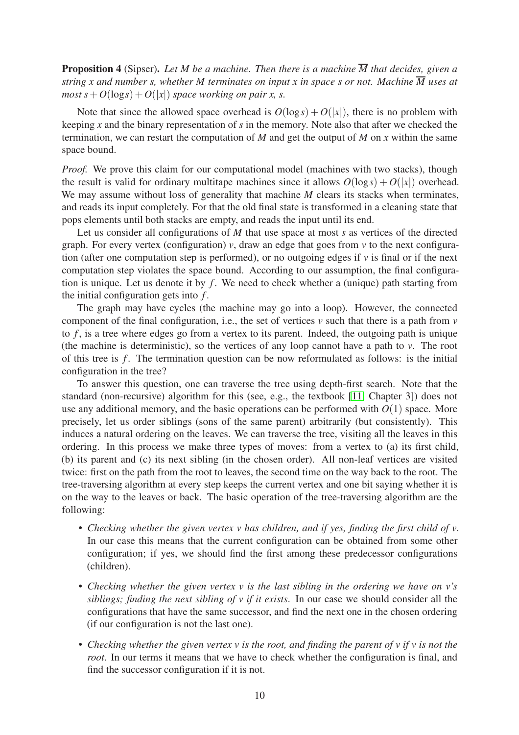Proposition 4 (Sipser). *Let M be a machine. Then there is a machine M that decides, given a string x and number s, whether M terminates on input x in space s or not. Machine M uses at most s* +  $O(\log s)$  +  $O(|x|)$  *space working on pair x, s.* 

Note that since the allowed space overhead is  $O(\log s) + O(|x|)$ , there is no problem with keeping *x* and the binary representation of *s* in the memory. Note also that after we checked the termination, we can restart the computation of  $M$  and get the output of  $M$  on  $x$  within the same space bound.

*Proof.* We prove this claim for our computational model (machines with two stacks), though the result is valid for ordinary multitape machines since it allows  $O(\log s) + O(|x|)$  overhead. We may assume without loss of generality that machine *M* clears its stacks when terminates, and reads its input completely. For that the old final state is transformed in a cleaning state that pops elements until both stacks are empty, and reads the input until its end.

Let us consider all configurations of *M* that use space at most *s* as vertices of the directed graph. For every vertex (configuration) *v*, draw an edge that goes from *v* to the next configuration (after one computation step is performed), or no outgoing edges if *v* is final or if the next computation step violates the space bound. According to our assumption, the final configuration is unique. Let us denote it by *f*. We need to check whether a (unique) path starting from the initial configuration gets into *f* .

The graph may have cycles (the machine may go into a loop). However, the connected component of the final configuration, i.e., the set of vertices *v* such that there is a path from *v* to *f* , is a tree where edges go from a vertex to its parent. Indeed, the outgoing path is unique (the machine is deterministic), so the vertices of any loop cannot have a path to *v*. The root of this tree is *f* . The termination question can be now reformulated as follows: is the initial configuration in the tree?

To answer this question, one can traverse the tree using depth-first search. Note that the standard (non-recursive) algorithm for this (see, e.g., the textbook [\[11,](#page-20-7) Chapter 3]) does not use any additional memory, and the basic operations can be performed with  $O(1)$  space. More precisely, let us order siblings (sons of the same parent) arbitrarily (but consistently). This induces a natural ordering on the leaves. We can traverse the tree, visiting all the leaves in this ordering. In this process we make three types of moves: from a vertex to (a) its first child, (b) its parent and (c) its next sibling (in the chosen order). All non-leaf vertices are visited twice: first on the path from the root to leaves, the second time on the way back to the root. The tree-traversing algorithm at every step keeps the current vertex and one bit saying whether it is on the way to the leaves or back. The basic operation of the tree-traversing algorithm are the following:

- *Checking whether the given vertex v has children, and if yes, finding the first child of v*. In our case this means that the current configuration can be obtained from some other configuration; if yes, we should find the first among these predecessor configurations (children).
- *Checking whether the given vertex v is the last sibling in the ordering we have on v's siblings; finding the next sibling of v if it exists*. In our case we should consider all the configurations that have the same successor, and find the next one in the chosen ordering (if our configuration is not the last one).
- *Checking whether the given vertex v is the root, and finding the parent of v if v is not the root*. In our terms it means that we have to check whether the configuration is final, and find the successor configuration if it is not.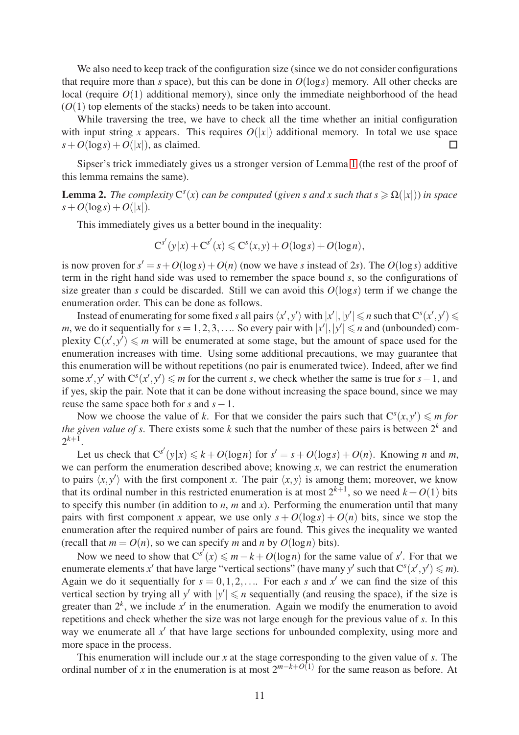We also need to keep track of the configuration size (since we do not consider configurations that require more than *s* space), but this can be done in *O*(log*s*) memory. All other checks are local (require  $O(1)$ ) additional memory), since only the immediate neighborhood of the head  $(O(1)$  top elements of the stacks) needs to be taken into account.

While traversing the tree, we have to check all the time whether an initial configuration with input string *x* appears. This requires  $O(|x|)$  additional memory. In total we use space  $s + O(\log s) + O(|x|)$ , as claimed.  $\Box$ 

Sipser's trick immediately gives us a stronger version of Lemma [1](#page-8-0) (the rest of the proof of this lemma remains the same).

**Lemma 2.** *The complexity*  $C^{s}(x)$  *can be computed* (*given s and x such that*  $s \ge \Omega(|x|)$ *) in space*  $s + O(\log s) + O(|x|)$ .

This immediately gives us a better bound in the inequality:

$$
C^{s'}(y|x) + C^{s'}(x) \le C^{s}(x, y) + O(\log s) + O(\log n),
$$

is now proven for  $s' = s + O(\log s) + O(n)$  (now we have *s* instead of 2*s*). The  $O(\log s)$  additive term in the right hand side was used to remember the space bound *s*, so the configurations of size greater than *s* could be discarded. Still we can avoid this *O*(log*s*) term if we change the enumeration order. This can be done as follows.

Instead of enumerating for some fixed *s* all pairs  $\langle x', y' \rangle$  with  $|x'|, |y'| \le n$  such that  $C^s(x', y') \le n$ *m*, we do it sequentially for  $s = 1, 2, 3, \ldots$ . So every pair with  $|x'|, |y'| \leq n$  and (unbounded) complexity  $C(x', y') \le m$  will be enumerated at some stage, but the amount of space used for the enumeration increases with time. Using some additional precautions, we may guarantee that this enumeration will be without repetitions (no pair is enumerated twice). Indeed, after we find some  $x'$ ,  $y'$  with  $C^{s}(x', y')$  ≤ *m* for the current *s*, we check whether the same is true for *s* − 1, and if yes, skip the pair. Note that it can be done without increasing the space bound, since we may reuse the same space both for *s* and *s*−1.

Now we choose the value of *k*. For that we consider the pairs such that  $C^{s}(x, y') \leq m$  for *the given value of s.* There exists some  $k$  such that the number of these pairs is between  $2^k$  and  $2^{k+1}$ .

Let us check that  $C^{s'}(y|x) \le k + O(\log n)$  for  $s' = s + O(\log s) + O(n)$ . Knowing *n* and *m*, we can perform the enumeration described above; knowing *x*, we can restrict the enumeration to pairs  $\langle x, y' \rangle$  with the first component *x*. The pair  $\langle x, y \rangle$  is among them; moreover, we know that its ordinal number in this restricted enumeration is at most  $2^{k+1}$ , so we need  $k+O(1)$  bits to specify this number (in addition to  $n$ ,  $m$  and  $x$ ). Performing the enumeration until that many pairs with first component *x* appear, we use only  $s + O(\log s) + O(n)$  bits, since we stop the enumeration after the required number of pairs are found. This gives the inequality we wanted (recall that  $m = O(n)$ , so we can specify *m* and *n* by  $O(\log n)$  bits).

Now we need to show that  $C^{s'}(x) \leq m - k + O(\log n)$  for the same value of *s'*. For that we enumerate elements *x*<sup>*'*</sup> that have large "vertical sections" (have many *y*<sup>*'*</sup> such that  $C^{s}(x', y') \leq m$ ). Again we do it sequentially for  $s = 0, 1, 2, \ldots$  For each *s* and  $x'$  we can find the size of this vertical section by trying all *y'* with  $|y'| \le n$  sequentially (and reusing the space), if the size is greater than  $2^k$ , we include  $x'$  in the enumeration. Again we modify the enumeration to avoid repetitions and check whether the size was not large enough for the previous value of *s*. In this way we enumerate all  $x'$  that have large sections for unbounded complexity, using more and more space in the process.

This enumeration will include our *x* at the stage corresponding to the given value of *s*. The ordinal number of *x* in the enumeration is at most 2*m*−*k*+*O*(1) for the same reason as before. At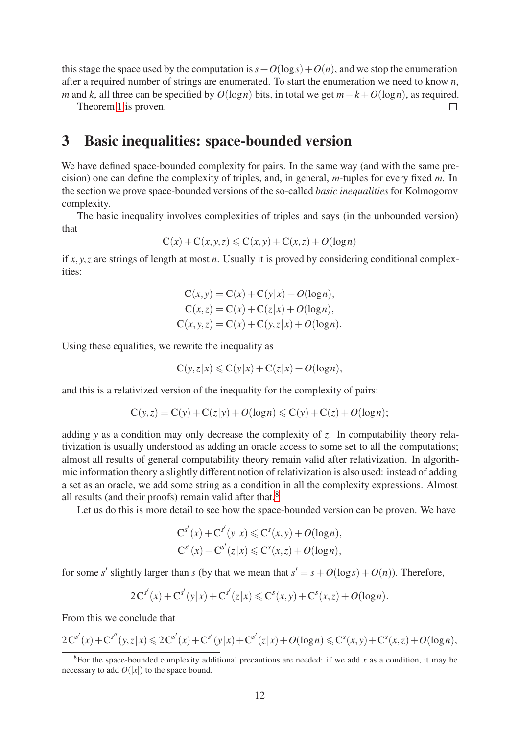this stage the space used by the computation is  $s + O(\log s) + O(n)$ , and we stop the enumeration after a required number of strings are enumerated. To start the enumeration we need to know *n*, *m* and *k*, all three can be specified by  $O(log n)$  bits, in total we get  $m-k+O(log n)$ , as required.

 $\Box$ 

Theorem [1](#page-6-2) is proven.

## 3 Basic inequalities: space-bounded version

We have defined space-bounded complexity for pairs. In the same way (and with the same precision) one can define the complexity of triples, and, in general, *m*-tuples for every fixed *m*. In the section we prove space-bounded versions of the so-called *basic inequalities*for Kolmogorov complexity.

The basic inequality involves complexities of triples and says (in the unbounded version) that

$$
C(x) + C(x, y, z) \leq C(x, y) + C(x, z) + O(\log n)
$$

if *x*, *y*,*z* are strings of length at most *n*. Usually it is proved by considering conditional complexities:

$$
C(x, y) = C(x) + C(y|x) + O(log n),
$$
  
\n
$$
C(x, z) = C(x) + C(z|x) + O(log n),
$$
  
\n
$$
C(x, y, z) = C(x) + C(y, z|x) + O(log n).
$$

Using these equalities, we rewrite the inequality as

$$
C(y, z|x) \leq C(y|x) + C(z|x) + O(\log n),
$$

and this is a relativized version of the inequality for the complexity of pairs:

$$
C(y,z) = C(y) + C(z|y) + O(log n) \leq C(y) + C(z) + O(log n);
$$

adding *y* as a condition may only decrease the complexity of *z*. In computability theory relativization is usually understood as adding an oracle access to some set to all the computations; almost all results of general computability theory remain valid after relativization. In algorithmic information theory a slightly different notion of relativization is also used: instead of adding a set as an oracle, we add some string as a condition in all the complexity expressions. Almost all results (and their proofs) remain valid after that. $8$ 

Let us do this is more detail to see how the space-bounded version can be proven. We have

$$
C^{s'}(x) + C^{s'}(y|x) \leq C^{s}(x,y) + O(\log n),
$$
  
\n
$$
C^{s'}(x) + C^{s'}(z|x) \leq C^{s}(x,z) + O(\log n),
$$

for some *s'* slightly larger than *s* (by that we mean that  $s' = s + O(\log s) + O(n)$ ). Therefore,

$$
2C^{s'}(x) + C^{s'}(y|x) + C^{s'}(z|x) \leq C^{s}(x,y) + C^{s}(x,z) + O(\log n).
$$

From this we conclude that

$$
2C^{s'}(x) + C^{s''}(y, z|x) \leq 2C^{s'}(x) + C^{s'}(y|x) + C^{s'}(z|x) + O(\log n) \leq C^{s}(x, y) + C^{s}(x, z) + O(\log n),
$$

<span id="page-11-0"></span><sup>&</sup>lt;sup>8</sup>For the space-bounded complexity additional precautions are needed: if we add  $x$  as a condition, it may be necessary to add  $O(|x|)$  to the space bound.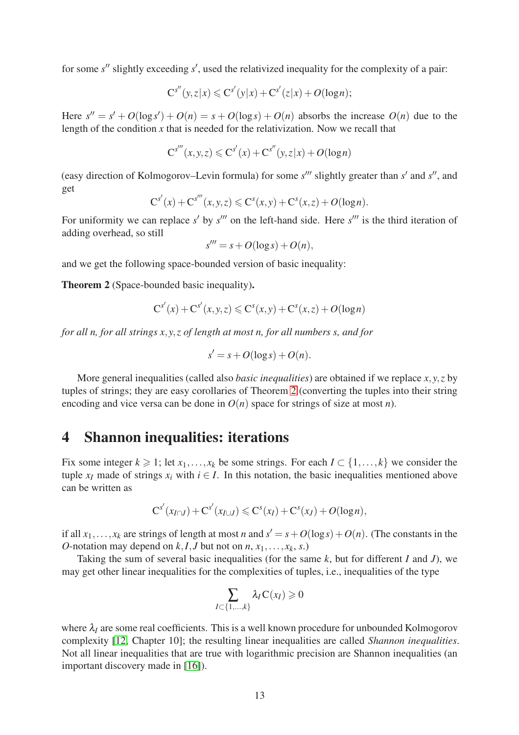for some s<sup>"</sup> slightly exceeding s', used the relativized inequality for the complexity of a pair:

$$
C^{s''}(y, z|x) \leq C^{s'}(y|x) + C^{s'}(z|x) + O(\log n);
$$

Here  $s'' = s' + O(\log s') + O(n) = s + O(\log s) + O(n)$  absorbs the increase  $O(n)$  due to the length of the condition  $x$  that is needed for the relativization. Now we recall that

$$
C^{s'''}(x, y, z) \le C^{s'}(x) + C^{s''}(y, z|x) + O(log n)
$$

(easy direction of Kolmogorov–Levin formula) for some s''' slightly greater than s' and s'', and get

$$
C^{s'}(x) + C^{s'''}(x, y, z) \le C^{s}(x, y) + C^{s}(x, z) + O(log n).
$$

For uniformity we can replace *s'* by *s'''* on the left-hand side. Here *s'''* is the third iteration of adding overhead, so still

$$
s''' = s + O(\log s) + O(n),
$$

and we get the following space-bounded version of basic inequality:

<span id="page-12-0"></span>Theorem 2 (Space-bounded basic inequality).

$$
C^{s'}(x) + C^{s'}(x, y, z) \le C^{s}(x, y) + C^{s}(x, z) + O(\log n)
$$

*for all n, for all strings x*, *y*,*z of length at most n, for all numbers s, and for*

$$
s' = s + O(\log s) + O(n).
$$

More general inequalities (called also *basic inequalities*) are obtained if we replace *x*, *y*,*z* by tuples of strings; they are easy corollaries of Theorem [2](#page-12-0) (converting the tuples into their string encoding and vice versa can be done in  $O(n)$  space for strings of size at most *n*).

#### 4 Shannon inequalities: iterations

Fix some integer  $k \ge 1$ ; let  $x_1, \ldots, x_k$  be some strings. For each  $I \subset \{1, \ldots, k\}$  we consider the tuple  $x_I$  made of strings  $x_i$  with  $i \in I$ . In this notation, the basic inequalities mentioned above can be written as

$$
C^{s'}(x_{I\cap J})+C^{s'}(x_{I\cup J})\leqslant C^s(x_I)+C^s(x_J)+O(\log n),
$$

if all  $x_1, \ldots, x_k$  are strings of length at most *n* and  $s' = s + O(\log s) + O(n)$ . (The constants in the *O*-notation may depend on  $k$ ,  $I$ ,  $J$  but not on  $n$ ,  $x_1$ , ...,  $x_k$ ,  $s$ .)

Taking the sum of several basic inequalities (for the same *k*, but for different *I* and *J*), we may get other linear inequalities for the complexities of tuples, i.e., inequalities of the type

$$
\sum_{I \subset \{1,\ldots,k\}} \lambda_I \mathbf{C}(x_I) \geq 0
$$

where  $\lambda_I$  are some real coefficients. This is a well known procedure for unbounded Kolmogorov complexity [\[12,](#page-20-8) Chapter 10]; the resulting linear inequalities are called *Shannon inequalities*. Not all linear inequalities that are true with logarithmic precision are Shannon inequalities (an important discovery made in [\[16\]](#page-21-1)).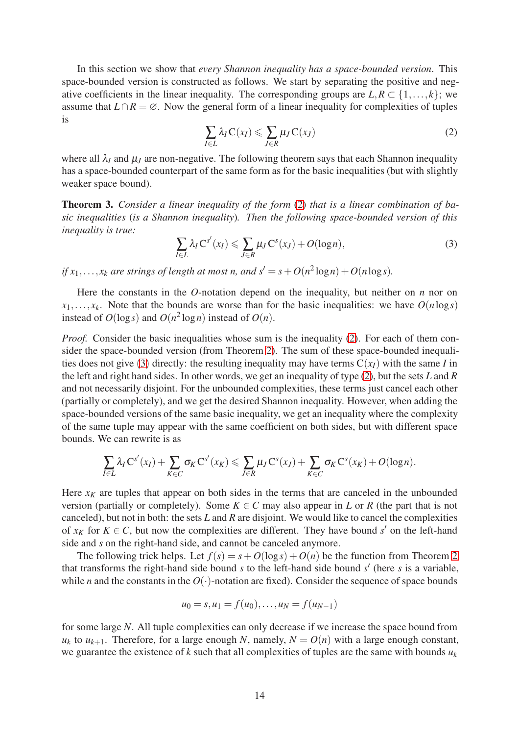In this section we show that *every Shannon inequality has a space-bounded version*. This space-bounded version is constructed as follows. We start by separating the positive and negative coefficients in the linear inequality. The corresponding groups are  $L, R \subset \{1, \ldots, k\}$ ; we assume that  $L \cap R = \emptyset$ . Now the general form of a linear inequality for complexities of tuples is

<span id="page-13-0"></span>
$$
\sum_{I \in L} \lambda_I C(x_I) \leq \sum_{J \in R} \mu_J C(x_J) \tag{2}
$$

where all  $\lambda$ <sub>*I*</sub> and  $\mu$ <sub>*J*</sub> are non-negative. The following theorem says that each Shannon inequality has a space-bounded counterpart of the same form as for the basic inequalities (but with slightly weaker space bound).

<span id="page-13-2"></span>Theorem 3. *Consider a linear inequality of the form* [\(2\)](#page-13-0) *that is a linear combination of basic inequalities* (*is a Shannon inequality*)*. Then the following space-bounded version of this inequality is true:*

<span id="page-13-1"></span>
$$
\sum_{I \in L} \lambda_I C^{s'}(x_I) \leqslant \sum_{J \in R} \mu_J C^s(x_J) + O(\log n),\tag{3}
$$

*if*  $x_1, \ldots, x_k$  are strings of length at most n, and  $s' = s + O(n^2 \log n) + O(n \log s)$ .

Here the constants in the *O*-notation depend on the inequality, but neither on *n* nor on  $x_1, \ldots, x_k$ . Note that the bounds are worse than for the basic inequalities: we have  $O(n \log s)$ instead of  $O(\log s)$  and  $O(n^2 \log n)$  instead of  $O(n)$ .

*Proof.* Consider the basic inequalities whose sum is the inequality [\(2\)](#page-13-0). For each of them consider the space-bounded version (from Theorem [2\)](#page-12-0). The sum of these space-bounded inequali-ties does not give ([3](#page-13-1)) directly: the resulting inequality may have terms  $C(x_I)$  with the same *I* in the left and right hand sides. In other words, we get an inequality of type [\(2\)](#page-13-0), but the sets *L* and *R* and not necessarily disjoint. For the unbounded complexities, these terms just cancel each other (partially or completely), and we get the desired Shannon inequality. However, when adding the space-bounded versions of the same basic inequality, we get an inequality where the complexity of the same tuple may appear with the same coefficient on both sides, but with different space bounds. We can rewrite is as

$$
\sum_{I\in L} \lambda_I \mathbf{C}^{s'}(x_I) + \sum_{K\in C} \sigma_K \mathbf{C}^{s'}(x_K) \leq \sum_{J\in R} \mu_J \mathbf{C}^{s}(x_J) + \sum_{K\in C} \sigma_K \mathbf{C}^{s}(x_K) + O(\log n).
$$

Here  $x_K$  are tuples that appear on both sides in the terms that are canceled in the unbounded version (partially or completely). Some  $K \in C$  may also appear in *L* or *R* (the part that is not canceled), but not in both: the sets *L* and *R* are disjoint. We would like to cancel the complexities of  $x_K$  for  $K \in \mathbb{C}$ , but now the complexities are different. They have bound  $s'$  on the left-hand side and *s* on the right-hand side, and cannot be canceled anymore.

The following trick helps. Let  $f(s) = s + O(\log s) + O(n)$  be the function from Theorem [2](#page-12-0) that transforms the right-hand side bound *s* to the left-hand side bound *s* ′ (here *s* is a variable, while *n* and the constants in the  $O(\cdot)$ -notation are fixed). Consider the sequence of space bounds

$$
u_0 = s, u_1 = f(u_0), \ldots, u_N = f(u_{N-1})
$$

for some large *N*. All tuple complexities can only decrease if we increase the space bound from  $u_k$  to  $u_{k+1}$ . Therefore, for a large enough *N*, namely,  $N = O(n)$  with a large enough constant, we guarantee the existence of  $k$  such that all complexities of tuples are the same with bounds  $u_k$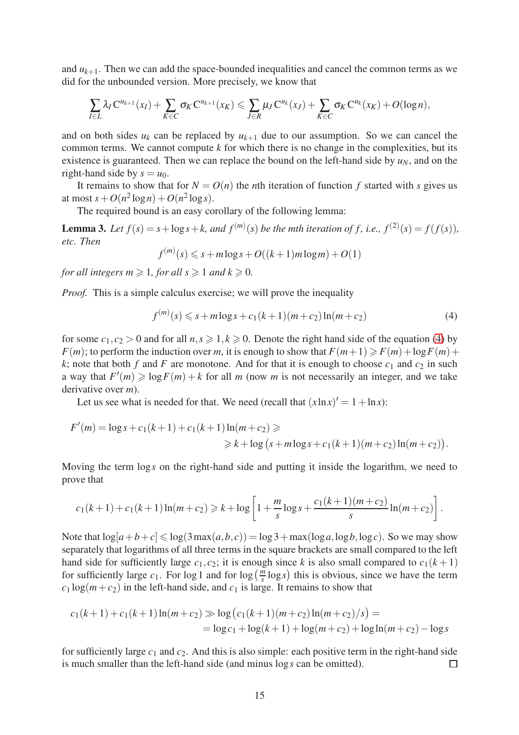and  $u_{k+1}$ . Then we can add the space-bounded inequalities and cancel the common terms as we did for the unbounded version. More precisely, we know that

$$
\sum_{I\in L} \lambda_I C^{u_{k+1}}(x_I) + \sum_{K\in C} \sigma_K C^{u_{k+1}}(x_K) \leq \sum_{J\in R} \mu_J C^{u_k}(x_J) + \sum_{K\in C} \sigma_K C^{u_k}(x_K) + O(\log n),
$$

and on both sides  $u_k$  can be replaced by  $u_{k+1}$  due to our assumption. So we can cancel the common terms. We cannot compute *k* for which there is no change in the complexities, but its existence is guaranteed. Then we can replace the bound on the left-hand side by  $u_N$ , and on the right-hand side by  $s = u_0$ .

It remains to show that for  $N = O(n)$  the *n*th iteration of function f started with *s* gives us at most  $s + O(n^2 \log n) + O(n^2 \log s)$ .

The required bound is an easy corollary of the following lemma:

<span id="page-14-0"></span>**Lemma 3.** Let  $f(s) = s + \log s + k$ , and  $f^{(m)}(s)$  be the mth iteration of f, i.e.,  $f^{(2)}(s) = f(f(s))$ , *etc. Then*

 $f^{(m)}(s) \leq s + m \log s + O((k+1)m \log m) + O(1)$ 

*for all integers*  $m \geq 1$ *, for all*  $s \geq 1$  *and*  $k \geq 0$ *.* 

*Proof.* This is a simple calculus exercise; we will prove the inequality

<span id="page-14-1"></span>
$$
f^{(m)}(s) \leq s + m \log s + c_1(k+1)(m+c_2) \ln(m+c_2)
$$
 (4)

for some  $c_1, c_2 > 0$  and for all  $n, s \ge 1, k \ge 0$ . Denote the right hand side of the equation [\(4\)](#page-14-1) by *F*(*m*); to perform the induction over *m*, it is enough to show that  $F(m+1) \geq F(m) + \log F(m) +$ *k*; note that both *f* and *F* are monotone. And for that it is enough to choose  $c_1$  and  $c_2$  in such a way that  $F'(m) \geq \log F(m) + k$  for all *m* (now *m* is not necessarily an integer, and we take derivative over *m*).

Let us see what is needed for that. We need (recall that  $(x \ln x)' = 1 + \ln x$ ):

$$
F'(m) = \log s + c_1(k+1) + c_1(k+1)\ln(m + c_2) \geqslant
$$
  
\$\geqslant k + \log (s + m \log s + c\_1(k+1)(m + c\_2)\ln(m + c\_2)).

Moving the term log*s* on the right-hand side and putting it inside the logarithm, we need to prove that

$$
c_1(k+1) + c_1(k+1)\ln(m+c_2) \geq k + \log\left[1 + \frac{m}{s}\log s + \frac{c_1(k+1)(m+c_2)}{s}\ln(m+c_2)\right].
$$

Note that  $\log[a+b+c] \leq \log(3 \max(a,b,c)) = \log 3 + \max(\log a, \log b, \log c)$ . So we may show separately that logarithms of all three terms in the square brackets are small compared to the left hand side for sufficiently large  $c_1, c_2$ ; it is enough since *k* is also small compared to  $c_1(k+1)$ for sufficiently large  $c_1$ . For log 1 and for log  $\left(\frac{m}{s}\right)$  $\frac{m}{s}$  log*s*) this is obvious, since we have the term  $c_1 \log(m + c_2)$  in the left-hand side, and  $c_1$  is large. It remains to show that

$$
c_1(k+1) + c_1(k+1)\ln(m+c_2) \gg \log (c_1(k+1)(m+c_2)\ln(m+c_2)/s) =
$$
  
= log c<sub>1</sub> + log(k+1) + log(m+c<sub>2</sub>) + log ln(m+c<sub>2</sub>) - log s

for sufficiently large  $c_1$  and  $c_2$ . And this is also simple: each positive term in the right-hand side is much smaller than the left-hand side (and minus log*s* can be omitted).  $\Box$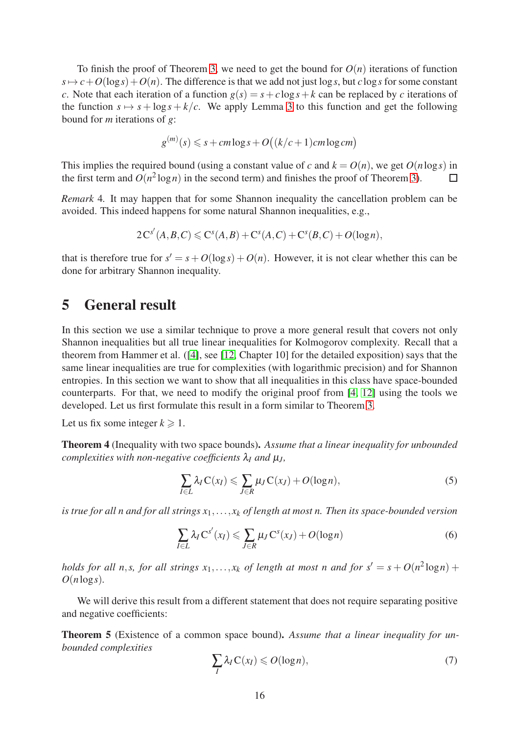To finish the proof of Theorem [3,](#page-13-2) we need to get the bound for  $O(n)$  iterations of function  $s \mapsto c + O(\log s) + O(n)$ . The difference is that we add not just log *s*, but *c* log *s* for some constant *c*. Note that each iteration of a function  $g(s) = s + c \log s + k$  can be replaced by *c* iterations of the function  $s \mapsto s + \log s + k/c$ . We apply Lemma [3](#page-14-0) to this function and get the following bound for *m* iterations of *g*:

$$
g^{(m)}(s) \leq s + cm \log s + O((k/c + 1)cm \log cm)
$$

This implies the required bound (using a constant value of *c* and  $k = O(n)$ , we get  $O(n \log s)$  in the first term and  $O(n^2 \log n)$  in the second term) and finishes the proof of Theorem [3\)](#page-13-2).  $\Box$ 

*Remark* 4*.* It may happen that for some Shannon inequality the cancellation problem can be avoided. This indeed happens for some natural Shannon inequalities, e.g.,

$$
2\,\mathrm{C}^{s'}(A,B,C)\leqslant \mathrm{C}^s(A,B)+\mathrm{C}^s(A,C)+\mathrm{C}^s(B,C)+O(\log n),
$$

that is therefore true for  $s' = s + O(\log s) + O(n)$ . However, it is not clear whether this can be done for arbitrary Shannon inequality.

## 5 General result

In this section we use a similar technique to prove a more general result that covers not only Shannon inequalities but all true linear inequalities for Kolmogorov complexity. Recall that a theorem from Hammer et al. ([\[4\]](#page-20-1), see [\[12,](#page-20-8) Chapter 10] for the detailed exposition) says that the same linear inequalities are true for complexities (with logarithmic precision) and for Shannon entropies. In this section we want to show that all inequalities in this class have space-bounded counterparts. For that, we need to modify the original proof from [\[4,](#page-20-1) [12\]](#page-20-8) using the tools we developed. Let us first formulate this result in a form similar to Theorem [3.](#page-13-2)

Let us fix some integer  $k \ge 1$ .

<span id="page-15-0"></span>Theorem 4 (Inequality with two space bounds). *Assume that a linear inequality for unbounded complexities with non-negative coefficients*  $\lambda_I$  *and*  $\mu_I$ *,* 

$$
\sum_{I \in L} \lambda_I C(x_I) \leq \sum_{J \in R} \mu_J C(x_J) + O(\log n),\tag{5}
$$

*is true for all n and for all strings x*1,..., *x<sup>k</sup> of length at most n. Then its space-bounded version*

<span id="page-15-2"></span>
$$
\sum_{I \in L} \lambda_I C^{s'}(x_I) \leq \sum_{J \in R} \mu_J C^s(x_J) + O(\log n) \tag{6}
$$

*holds for all n,s, for all strings*  $x_1, \ldots, x_k$  *of length at most n and for*  $s' = s + O(n^2 \log n) +$  $O(n \log s)$ .

We will derive this result from a different statement that does not require separating positive and negative coefficients:

<span id="page-15-1"></span>Theorem 5 (Existence of a common space bound). *Assume that a linear inequality for unbounded complexities*

$$
\sum_{I} \lambda_I C(x_I) \leqslant O(\log n),\tag{7}
$$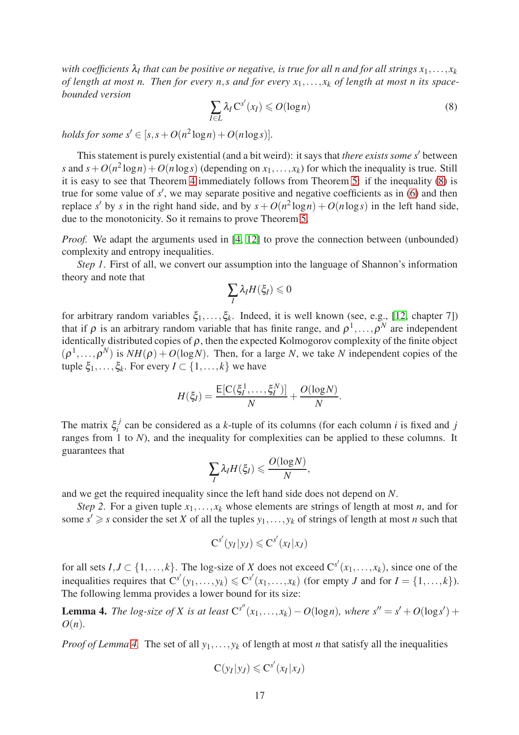with coefficients  $\lambda_I$  that can be positive or negative, is true for all n and for all strings  $x_1,\ldots, x_k$ *of length at most n. Then for every n,s and for every*  $x_1, \ldots, x_k$  *of length at most n its spacebounded version*

<span id="page-16-0"></span>
$$
\sum_{I \in L} \lambda_I \mathbf{C}^{s'}(x_I) \leqslant O(\log n) \tag{8}
$$

*holds for some s'*  $\in$   $[s, s + O(n^2 \log n) + O(n \log s)].$ 

This statement is purely existential (and a bit weird): it says that *there exists some s*′ between *s* and  $s + O(n^2 \log n) + O(n \log s)$  (depending on  $x_1, \ldots, x_k$ ) for which the inequality is true. Still it is easy to see that Theorem [4](#page-15-0) immediately follows from Theorem [5:](#page-15-1) if the inequality [\(8\)](#page-16-0) is true for some value of s', we may separate positive and negative coefficients as in [\(6\)](#page-15-2) and then replace *s'* by *s* in the right hand side, and by  $s + O(n^2 \log n) + O(n \log s)$  in the left hand side, due to the monotonicity. So it remains to prove Theorem [5.](#page-15-1)

*Proof.* We adapt the arguments used in [\[4,](#page-20-1) [12\]](#page-20-8) to prove the connection between (unbounded) complexity and entropy inequalities.

*Step 1*. First of all, we convert our assumption into the language of Shannon's information theory and note that

$$
\sum_I \lambda_I H(\xi_I) \leqslant 0
$$

for arbitrary random variables  $\xi_1, \ldots, \xi_k$ . Indeed, it is well known (see, e.g., [\[12,](#page-20-8) chapter 7]) that if  $\rho$  is an arbitrary random variable that has finite range, and  $\rho^1, \ldots, \rho^N$  are independent identically distributed copies of  $\rho$ , then the expected Kolmogorov complexity of the finite object  $(\rho^1, \ldots, \rho^N)$  is  $NH(\rho) + O(\log N)$ . Then, for a large *N*, we take *N* independent copies of the tuple  $\xi_1, \ldots, \xi_k$ . For every  $I \subset \{1, \ldots, k\}$  we have

$$
H(\xi_I) = \frac{\mathsf{E}[C(\xi_I^1,\ldots,\xi_I^N)]}{N} + \frac{O(\log N)}{N}.
$$

The matrix  $\xi_i^j$  $i$ <sup> $j$ </sup> can be considered as a *k*-tuple of its columns (for each column *i* is fixed and *j* ranges from 1 to *N*), and the inequality for complexities can be applied to these columns. It guarantees that

$$
\sum_{I} \lambda_{I} H(\xi_{I}) \leqslant \frac{O(\log N)}{N},
$$

and we get the required inequality since the left hand side does not depend on *N*.

*Step 2.* For a given tuple  $x_1, \ldots, x_k$  whose elements are strings of length at most *n*, and for some  $s' \geq s$  consider the set *X* of all the tuples  $y_1, \ldots, y_k$  of strings of length at most *n* such that

$$
C^{s'}(y_I|y_J)\leq C^{s'}(x_I|x_J)
$$

for all sets  $I, J \subset \{1, \ldots, k\}$ . The log-size of *X* does not exceed  $C^{s'}(x_1, \ldots, x_k)$ , since one of the inequalities requires that  $C^{s'}(y_1,..., y_k) \leq C^{s'}(x_1,..., x_k)$  (for empty *J* and for  $I = \{1,..., k\}$ ). The following lemma provides a lower bound for its size:

<span id="page-16-1"></span>**Lemma 4.** The log-size of X is at least  $C^{s''}(x_1,...,x_k) - O(\log n)$ , where  $s'' = s' + O(\log s') +$ *O*(*n*)*.*

*Proof of Lemma* [4.](#page-16-1) The set of all  $y_1, \ldots, y_k$  of length at most *n* that satisfy all the inequalities

$$
C(y_I|y_J) \leqslant C^{s'}(x_I|x_J)
$$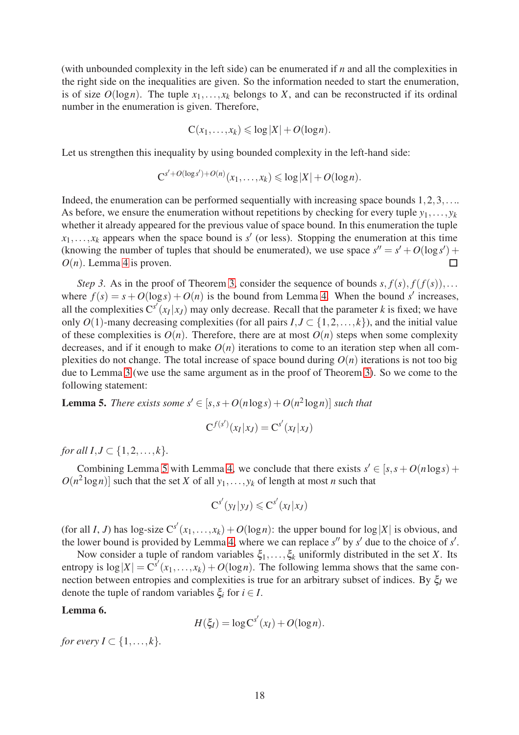(with unbounded complexity in the left side) can be enumerated if *n* and all the complexities in the right side on the inequalities are given. So the information needed to start the enumeration, is of size  $O(\log n)$ . The tuple  $x_1, \ldots, x_k$  belongs to *X*, and can be reconstructed if its ordinal number in the enumeration is given. Therefore,

$$
C(x_1,...,x_k) \leqslant \log |X| + O(\log n).
$$

Let us strengthen this inequality by using bounded complexity in the left-hand side:

 $\textbf{C}^{s'+O(\log s') +O(n)}(x_1,\ldots,x_k) \leqslant \log |X| + O(\log n).$ 

Indeed, the enumeration can be performed sequentially with increasing space bounds  $1, 2, 3, \ldots$ As before, we ensure the enumeration without repetitions by checking for every tuple  $y_1, \ldots, y_k$ whether it already appeared for the previous value of space bound. In this enumeration the tuple  $x_1, \ldots, x_k$  appears when the space bound is s' (or less). Stopping the enumeration at this time (knowing the number of tuples that should be enumerated), we use space  $s'' = s' + O(\log s')$  +  $O(n)$ . Lemma [4](#page-16-1) is proven.  $\Box$ 

*Step 3.* As in the proof of Theorem [3,](#page-13-2) consider the sequence of bounds  $s, f(s), f(f(s)),...$ where  $f(s) = s + O(\log s) + O(n)$  is the bound from Lemma [4.](#page-16-1) When the bound *s'* increases, all the complexities  $C^{s'}(x_I|x_J)$  may only decrease. Recall that the parameter *k* is fixed; we have only *O*(1)-many decreasing complexities (for all pairs *I*, *J* ⊂ {1, 2, ..., *k*}), and the initial value of these complexities is  $O(n)$ . Therefore, there are at most  $O(n)$  steps when some complexity decreases, and if it enough to make  $O(n)$  iterations to come to an iteration step when all complexities do not change. The total increase of space bound during  $O(n)$  iterations is not too big due to Lemma [3](#page-14-0) (we use the same argument as in the proof of Theorem [3\)](#page-13-2). So we come to the following statement:

<span id="page-17-0"></span>**Lemma 5.** *There exists some s'*  $\in$   $[s, s + O(n \log s) + O(n^2 \log n)]$  *such that* 

$$
\mathbf{C}^{f(s')}(x_I|x_J) = \mathbf{C}^{s'}(x_I|x_J)
$$

*for all*  $I, J \subset \{1, 2, ..., k\}$ *.* 

Combining Lemma [5](#page-17-0) with Lemma [4,](#page-16-1) we conclude that there exists  $s' \in [s, s + O(n \log s) +$  $O(n^2 \log n)$ ] such that the set *X* of all  $y_1, \ldots, y_k$  of length at most *n* such that

$$
C^{s'}(y_I|y_J)\leq C^{s'}(x_I|x_J)
$$

(for all *I*, *J*) has log-size  $C^{s'}(x_1,...,x_k) + O(\log n)$ : the upper bound for log |X| is obvious, and the lower bound is provided by Lemma [4,](#page-16-1) where we can replace  $s''$  by  $s'$  due to the choice of  $s'$ .

Now consider a tuple of random variables  $\xi_1, \ldots, \xi_k$  uniformly distributed in the set *X*. Its entropy is  $\log |X| = C^{s'}(x_1,...,x_k) + O(\log n)$ . The following lemma shows that the same connection between entropies and complexities is true for an arbitrary subset of indices. By ξ*<sup>I</sup>* we denote the tuple of random variables  $\xi_i$  for  $i \in I$ .

#### <span id="page-17-1"></span>Lemma 6.

$$
H(\xi_I) = \log C^{s'}(x_I) + O(\log n).
$$

*for every I*  $\subset$  {1,...,*k*}.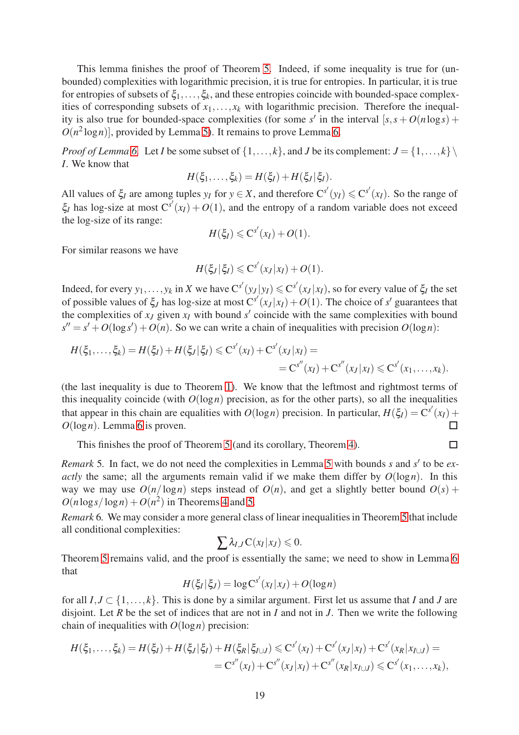This lemma finishes the proof of Theorem [5.](#page-15-1) Indeed, if some inequality is true for (unbounded) complexities with logarithmic precision, it is true for entropies. In particular, it is true for entropies of subsets of  $\xi_1, \ldots, \xi_k$ , and these entropies coincide with bounded-space complexities of corresponding subsets of  $x_1, \ldots, x_k$  with logarithmic precision. Therefore the inequality is also true for bounded-space complexities (for some  $s'$  in the interval  $[s, s + O(n \log s) +$  $O(n^2 \log n)$ ], provided by Lemma [5\)](#page-17-0). It remains to prove Lemma [6.](#page-17-1)

*Proof of Lemma [6.](#page-17-1)* Let *I* be some subset of  $\{1, \ldots, k\}$ , and *J* be its complement:  $J = \{1, \ldots, k\}$ *I*. We know that

$$
H(\xi_1,\ldots,\xi_k)=H(\xi_I)+H(\xi_J|\xi_I).
$$

All values of  $\xi_I$  are among tuples  $y_I$  for  $y \in X$ , and therefore  $C^{s'}(y_I) \leq C^{s'}(x_I)$ . So the range of  $\xi$ *I* has log-size at most  $C^{s'}(x_I) + O(1)$ , and the entropy of a random variable does not exceed the log-size of its range:

$$
H(\xi_I) \leqslant C^{s'}(x_I) + O(1).
$$

For similar reasons we have

$$
H(\xi_J|\xi_I) \leqslant C^{s'}(x_J|x_I) + O(1).
$$

Indeed, for every  $y_1, \ldots, y_k$  in *X* we have  $C^{s'}(y_J | y_I) \leq C^{s'}(x_J | x_I)$ , so for every value of  $\xi_I$  the set of possible values of  $\xi$ *J* has log-size at most  $C^{s'}(x_J | x_I) + O(1)$ . The choice of *s'* guarantees that the complexities of  $x_J$  given  $x_I$  with bound  $s'$  coincide with the same complexities with bound  $s'' = s' + O(\log s') + O(n)$ . So we can write a chain of inequalities with precision  $O(\log n)$ :

$$
H(\xi_1,\ldots,\xi_k) = H(\xi_I) + H(\xi_J | \xi_I) \leq C^{s'}(x_I) + C^{s'}(x_J | x_I) =
$$
  
=  $C^{s''}(x_I) + C^{s''}(x_J | x_I) \leq C^{s'}(x_1,\ldots,x_k).$ 

(the last inequality is due to Theorem [1\)](#page-6-2). We know that the leftmost and rightmost terms of this inequality coincide (with  $O(\log n)$  precision, as for the other parts), so all the inequalities that appear in this chain are equalities with  $O(log n)$  precision. In particular,  $H(\xi_I) = C^{s'}(x_I) +$ *O*(log*n*). Lemma [6](#page-17-1) is proven.  $\Box$ 

 $\Box$ 

This finishes the proof of Theorem [5](#page-15-1) (and its corollary, Theorem [4\)](#page-15-0).

*Remark* 5*.* In fact, we do not need the complexities in Lemma [5](#page-17-0) with bounds *s* and *s* ′ to be *exactly* the same; all the arguments remain valid if we make them differ by  $O(log n)$ . In this way we may use  $O(n/\log n)$  steps instead of  $O(n)$ , and get a slightly better bound  $O(s)$  +  $O(n \log s / \log n) + O(n^2)$  in Theorems [4](#page-15-0) and [5.](#page-15-1)

*Remark* 6*.* We may consider a more general class of linear inequalities in Theorem [5](#page-15-1) that include all conditional complexities:

$$
\sum \lambda_{I,J} C(x_I|x_J) \leqslant 0.
$$

Theorem [5](#page-15-1) remains valid, and the proof is essentially the same; we need to show in Lemma [6](#page-17-1) that

$$
H(\xi_I|\xi_J) = \log \mathrm{C}^{s'}(x_I|x_J) + O(\log n)
$$

for all  $I, J \subset \{1, \ldots, k\}$ . This is done by a similar argument. First let us assume that *I* and *J* are disjoint. Let *R* be the set of indices that are not in *I* and not in *J*. Then we write the following chain of inequalities with  $O(log n)$  precision:

$$
H(\xi_1,\ldots,\xi_k) = H(\xi_I) + H(\xi_I|\xi_I) + H(\xi_R|\xi_{I\cup J}) \leqslant C^{s'}(x_I) + C^{s'}(x_I|x_I) + C^{s'}(x_R|x_{I\cup J}) =
$$
  
=  $C^{s''}(x_I) + C^{s''}(x_I|x_I) + C^{s''}(x_R|x_{I\cup J}) \leqslant C^{s'}(x_1,\ldots,x_k),$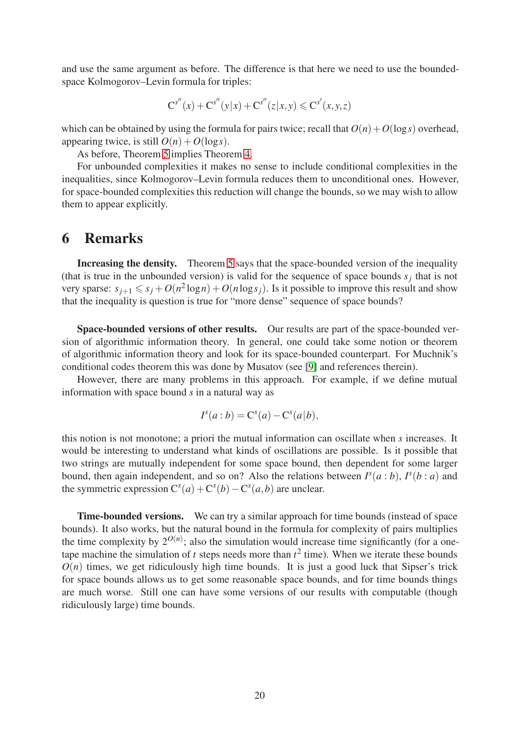and use the same argument as before. The difference is that here we need to use the boundedspace Kolmogorov–Levin formula for triples:

$$
C^{s''}(x) + C^{s''}(y|x) + C^{s''}(z|x,y) \leq C^{s'}(x,y,z)
$$

which can be obtained by using the formula for pairs twice; recall that  $O(n) + O(\log s)$  overhead, appearing twice, is still  $O(n) + O(\log s)$ .

As before, Theorem [5](#page-15-1) implies Theorem [4.](#page-15-0)

For unbounded complexities it makes no sense to include conditional complexities in the inequalities, since Kolmogorov–Levin formula reduces them to unconditional ones. However, for space-bounded complexities this reduction will change the bounds, so we may wish to allow them to appear explicitly.

#### 6 Remarks

Increasing the density. Theorem [5](#page-15-1) says that the space-bounded version of the inequality (that is true in the unbounded version) is valid for the sequence of space bounds  $s_j$  that is not very sparse:  $s_{j+1} \leq s_j + O(n^2 \log n) + O(n \log s_j)$ . Is it possible to improve this result and show that the inequality is question is true for "more dense" sequence of space bounds?

Space-bounded versions of other results. Our results are part of the space-bounded version of algorithmic information theory. In general, one could take some notion or theorem of algorithmic information theory and look for its space-bounded counterpart. For Muchnik's conditional codes theorem this was done by Musatov (see [\[9\]](#page-20-9) and references therein).

However, there are many problems in this approach. For example, if we define mutual information with space bound *s* in a natural way as

$$
I^s(a:b) = \mathbf{C}^s(a) - \mathbf{C}^s(a|b),
$$

this notion is not monotone; a priori the mutual information can oscillate when *s* increases. It would be interesting to understand what kinds of oscillations are possible. Is it possible that two strings are mutually independent for some space bound, then dependent for some larger bound, then again independent, and so on? Also the relations between  $I^s(a:b)$ ,  $I^s(b:a)$  and the symmetric expression  $C^{s}(a) + C^{s}(b) - C^{s}(a,b)$  are unclear.

Time-bounded versions. We can try a similar approach for time bounds (instead of space bounds). It also works, but the natural bound in the formula for complexity of pairs multiplies the time complexity by  $2^{O(n)}$ ; also the simulation would increase time significantly (for a onetape machine the simulation of  $t$  steps needs more than  $t^2$  time). When we iterate these bounds  $O(n)$  times, we get ridiculously high time bounds. It is just a good luck that Sipser's trick for space bounds allows us to get some reasonable space bounds, and for time bounds things are much worse. Still one can have some versions of our results with computable (though ridiculously large) time bounds.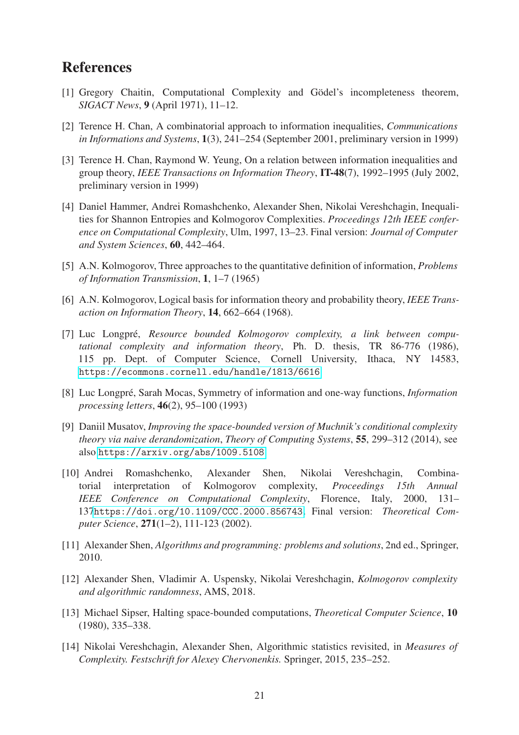### <span id="page-20-2"></span>References

- [1] Gregory Chaitin, Computational Complexity and Gödel's incompleteness theorem, *SIGACT News*, 9 (April 1971), 11–12.
- [2] Terence H. Chan, A combinatorial approach to information inequalities, *Communications in Informations and Systems*, 1(3), 241–254 (September 2001, preliminary version in 1999)
- [3] Terence H. Chan, Raymond W. Yeung, On a relation between information inequalities and group theory, *IEEE Transactions on Information Theory*, IT-48(7), 1992–1995 (July 2002, preliminary version in 1999)
- <span id="page-20-1"></span>[4] Daniel Hammer, Andrei Romashchenko, Alexander Shen, Nikolai Vereshchagin, Inequalities for Shannon Entropies and Kolmogorov Complexities. *Proceedings 12th IEEE conference on Computational Complexity*, Ulm, 1997, 13–23. Final version: *Journal of Computer and System Sciences*, 60, 442–464.
- <span id="page-20-0"></span>[5] A.N. Kolmogorov, Three approaches to the quantitative definition of information, *Problems of Information Transmission*, 1, 1–7 (1965)
- <span id="page-20-3"></span>[6] A.N. Kolmogorov, Logical basis for information theory and probability theory, *IEEE Transaction on Information Theory*, 14, 662–664 (1968).
- [7] Luc Longpré, Resource bounded Kolmogorov complexity, a link between compu*tational complexity and information theory*, Ph. D. thesis, TR 86-776 (1986), 115 pp. Dept. of Computer Science, Cornell University, Ithaca, NY 14583, <https://ecommons.cornell.edu/handle/1813/6616>
- <span id="page-20-4"></span>[8] Luc Longpré, Sarah Mocas, Symmetry of information and one-way functions, *Information processing letters*, 46(2), 95–100 (1993)
- <span id="page-20-9"></span>[9] Daniil Musatov, *Improving the space-bounded version of Muchnik's conditional complexity theory via naive derandomization*, *Theory of Computing Systems*, 55, 299–312 (2014), see also <https://arxiv.org/abs/1009.5108>
- [10] Andrei Romashchenko, Alexander Shen, Nikolai Vereshchagin, Combinatorial interpretation of Kolmogorov complexity, *Proceedings 15th Annual IEEE Conference on Computational Complexity*, Florence, Italy, 2000, 131– 137<https://doi.org/10.1109/CCC.2000.856743>. Final version: *Theoretical Computer Science*, 271(1–2), 111-123 (2002).
- <span id="page-20-8"></span><span id="page-20-7"></span>[11] Alexander Shen, *Algorithms and programming: problems and solutions*, 2nd ed., Springer, 2010.
- [12] Alexander Shen, Vladimir A. Uspensky, Nikolai Vereshchagin, *Kolmogorov complexity and algorithmic randomness*, AMS, 2018.
- <span id="page-20-6"></span>[13] Michael Sipser, Halting space-bounded computations, *Theoretical Computer Science*, 10 (1980), 335–338.
- <span id="page-20-5"></span>[14] Nikolai Vereshchagin, Alexander Shen, Algorithmic statistics revisited, in *Measures of Complexity. Festschrift for Alexey Chervonenkis.* Springer, 2015, 235–252.